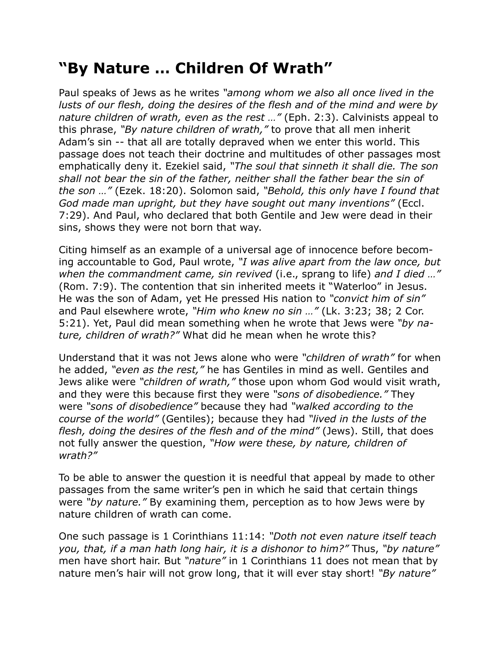## **"By Nature … Children Of Wrath"**

Paul speaks of Jews as he writes *"among whom we also all once lived in the lusts of our flesh, doing the desires of the flesh and of the mind and were by nature children of wrath, even as the rest …"* (Eph. 2:3). Calvinists appeal to this phrase, *"By nature children of wrath,"* to prove that all men inherit Adam's sin -- that all are totally depraved when we enter this world. This passage does not teach their doctrine and multitudes of other passages most emphatically deny it. Ezekiel said, *"The soul that sinneth it shall die. The son shall not bear the sin of the father, neither shall the father bear the sin of the son …"* (Ezek. 18:20). Solomon said, *"Behold, this only have I found that God made man upright, but they have sought out many inventions"* (Eccl. 7:29). And Paul, who declared that both Gentile and Jew were dead in their sins, shows they were not born that way.

Citing himself as an example of a universal age of innocence before becoming accountable to God, Paul wrote, *"I was alive apart from the law once, but when the commandment came, sin revived* (i.e., sprang to life) *and I died …"* (Rom. 7:9). The contention that sin inherited meets it "Waterloo" in Jesus. He was the son of Adam, yet He pressed His nation to *"convict him of sin"* and Paul elsewhere wrote, *"Him who knew no sin …"* (Lk. 3:23; 38; 2 Cor. 5:21). Yet, Paul did mean something when he wrote that Jews were *"by nature, children of wrath?"* What did he mean when he wrote this?

Understand that it was not Jews alone who were *"children of wrath"* for when he added, *"even as the rest,"* he has Gentiles in mind as well. Gentiles and Jews alike were *"children of wrath,"* those upon whom God would visit wrath, and they were this because first they were *"sons of disobedience."* They were *"sons of disobedience"* because they had *"walked according to the course of the world"* (Gentiles); because they had *"lived in the lusts of the flesh, doing the desires of the flesh and of the mind"* (Jews). Still, that does not fully answer the question, *"How were these, by nature, children of wrath?"*

To be able to answer the question it is needful that appeal by made to other passages from the same writer's pen in which he said that certain things were *"by nature."* By examining them, perception as to how Jews were by nature children of wrath can come.

One such passage is 1 Corinthians 11:14: *"Doth not even nature itself teach you, that, if a man hath long hair, it is a dishonor to him?"* Thus, *"by nature"* men have short hair. But *"nature"* in 1 Corinthians 11 does not mean that by nature men's hair will not grow long, that it will ever stay short! *"By nature"*